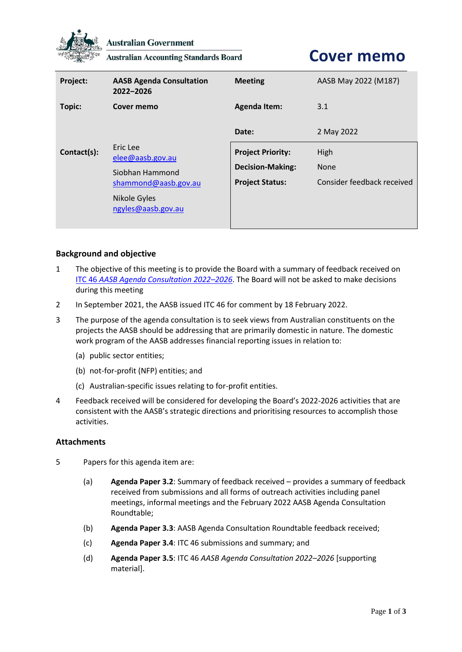

**Australian Government** 

**Australian Accounting Standards Board** 

# **Cover memo**

| Project:    | <b>AASB Agenda Consultation</b><br>2022-2026                                                                  | <b>Meeting</b>                                                                | AASB May 2022 (M187)                              |
|-------------|---------------------------------------------------------------------------------------------------------------|-------------------------------------------------------------------------------|---------------------------------------------------|
| Topic:      | Cover memo                                                                                                    | <b>Agenda Item:</b>                                                           | 3.1                                               |
|             |                                                                                                               | Date:                                                                         | 2 May 2022                                        |
| Contact(s): | Eric Lee<br>elee@aasb.gov.au<br>Siobhan Hammond<br>shammond@aasb.gov.au<br>Nikole Gyles<br>ngyles@aasb.gov.au | <b>Project Priority:</b><br><b>Decision-Making:</b><br><b>Project Status:</b> | High<br><b>None</b><br>Consider feedback received |

## **Background and objective**

- 1 The objective of this meeting is to provide the Board with a summary of feedback received on ITC 46 *[AASB Agenda Consultation 2022](https://aasb.gov.au/admin/file/content105/c9/ITC46_10-21.pdf)–2026*. The Board will not be asked to make decisions during this meeting
- 2 In September 2021, the AASB issued ITC 46 for comment by 18 February 2022.
- 3 The purpose of the agenda consultation is to seek views from Australian constituents on the projects the AASB should be addressing that are primarily domestic in nature. The domestic work program of the AASB addresses financial reporting issues in relation to:
	- (a) public sector entities;
	- (b) not-for-profit (NFP) entities; and
	- (c) Australian-specific issues relating to for-profit entities.
- 4 Feedback received will be considered for developing the Board's 2022-2026 activities that are consistent with the AASB's strategic directions and prioritising resources to accomplish those activities.

#### **Attachments**

- 5 Papers for this agenda item are:
	- (a) **Agenda Paper 3.2**: Summary of feedback received provides a summary of feedback received from submissions and all forms of outreach activities including panel meetings, informal meetings and the February 2022 AASB Agenda Consultation Roundtable;
	- (b) **Agenda Paper 3.3**: AASB Agenda Consultation Roundtable feedback received;
	- (c) **Agenda Paper 3.4**: ITC 46 submissions and summary; and
	- (d) **Agenda Paper 3.5**: ITC 46 *AASB Agenda Consultation 2022–2026* [supporting material].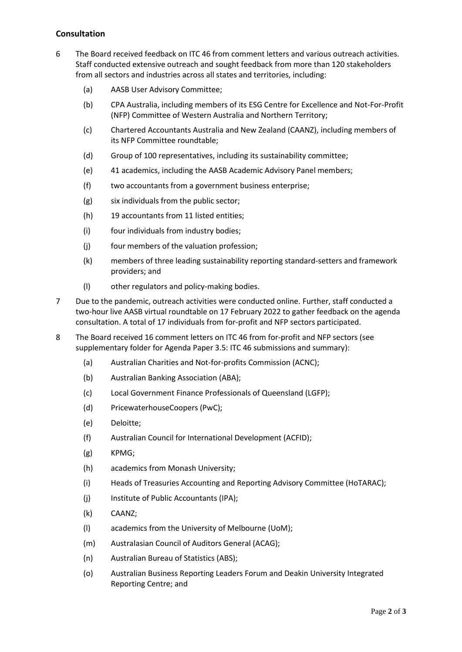## **Consultation**

- 6 The Board received feedback on ITC 46 from comment letters and various outreach activities. Staff conducted extensive outreach and sought feedback from more than 120 stakeholders from all sectors and industries across all states and territories, including:
	- (a) AASB User Advisory Committee;
	- (b) CPA Australia, including members of its ESG Centre for Excellence and Not-For-Profit (NFP) Committee of Western Australia and Northern Territory;
	- (c) Chartered Accountants Australia and New Zealand (CAANZ), including members of its NFP Committee roundtable;
	- (d) Group of 100 representatives, including its sustainability committee;
	- (e) 41 academics, including the AASB Academic Advisory Panel members;
	- (f) two accountants from a government business enterprise;
	- (g) six individuals from the public sector;
	- (h) 19 accountants from 11 listed entities;
	- (i) four individuals from industry bodies;
	- (j) four members of the valuation profession;
	- (k) members of three leading sustainability reporting standard-setters and framework providers; and
	- (l) other regulators and policy-making bodies.
- 7 Due to the pandemic, outreach activities were conducted online. Further, staff conducted a two-hour live AASB virtual roundtable on 17 February 2022 to gather feedback on the agenda consultation. A total of 17 individuals from for-profit and NFP sectors participated.
- 8 The Board received 16 comment letters on ITC 46 from for-profit and NFP sectors (see supplementary folder for Agenda Paper 3.5: ITC 46 submissions and summary):
	- (a) Australian Charities and Not-for-profits Commission (ACNC);
	- (b) Australian Banking Association (ABA);
	- (c) Local Government Finance Professionals of Queensland (LGFP);
	- (d) PricewaterhouseCoopers (PwC);
	- (e) Deloitte;
	- (f) Australian Council for International Development (ACFID);
	- (g) KPMG;
	- (h) academics from Monash University;
	- (i) Heads of Treasuries Accounting and Reporting Advisory Committee (HoTARAC);
	- (j) Institute of Public Accountants (IPA);
	- (k) CAANZ;
	- (l) academics from the University of Melbourne (UoM);
	- (m) Australasian Council of Auditors General (ACAG);
	- (n) Australian Bureau of Statistics (ABS);
	- (o) Australian Business Reporting Leaders Forum and Deakin University Integrated Reporting Centre; and